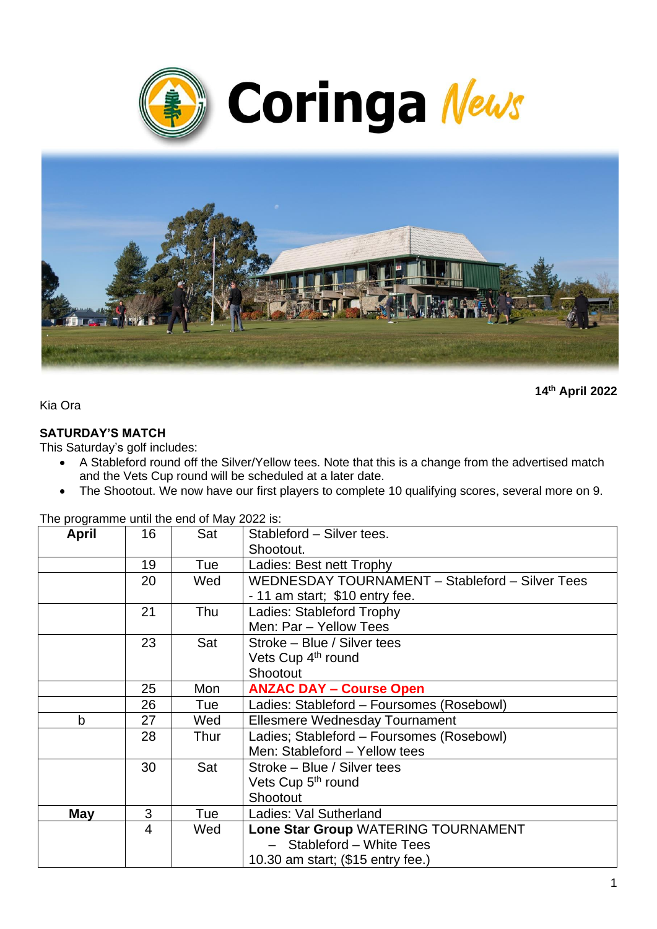



**14th April 2022**

Kia Ora

#### **SATURDAY'S MATCH**

This Saturday's golf includes:

- A Stableford round off the Silver/Yellow tees. Note that this is a change from the advertised match and the Vets Cup round will be scheduled at a later date.
- The Shootout. We now have our first players to complete 10 qualifying scores, several more on 9.

The programme until the end of May 2022 is:

| April | 16 | Sat  | Stableford - Silver tees.                       |  |
|-------|----|------|-------------------------------------------------|--|
|       |    |      | Shootout.                                       |  |
|       | 19 | Tue  | Ladies: Best nett Trophy                        |  |
|       | 20 | Wed  | WEDNESDAY TOURNAMENT - Stableford - Silver Tees |  |
|       |    |      | - 11 am start; \$10 entry fee.                  |  |
|       | 21 | Thu  | Ladies: Stableford Trophy                       |  |
|       |    |      | Men: Par - Yellow Tees                          |  |
|       | 23 | Sat  | Stroke - Blue / Silver tees                     |  |
|       |    |      | Vets Cup 4 <sup>th</sup> round                  |  |
|       |    |      | Shootout                                        |  |
|       | 25 | Mon  | <b>ANZAC DAY - Course Open</b>                  |  |
|       | 26 | Tue  | Ladies: Stableford - Foursomes (Rosebowl)       |  |
| b     | 27 | Wed  | <b>Ellesmere Wednesday Tournament</b>           |  |
|       | 28 | Thur | Ladies; Stableford - Foursomes (Rosebowl)       |  |
|       |    |      | Men: Stableford - Yellow tees                   |  |
|       | 30 | Sat  | Stroke – Blue / Silver tees                     |  |
|       |    |      | Vets Cup 5 <sup>th</sup> round                  |  |
|       |    |      | Shootout                                        |  |
| May   | 3  | Tue  | Ladies: Val Sutherland                          |  |
|       | 4  | Wed  | Lone Star Group WATERING TOURNAMENT             |  |
|       |    |      | - Stableford - White Tees                       |  |
|       |    |      | 10.30 am start; (\$15 entry fee.)               |  |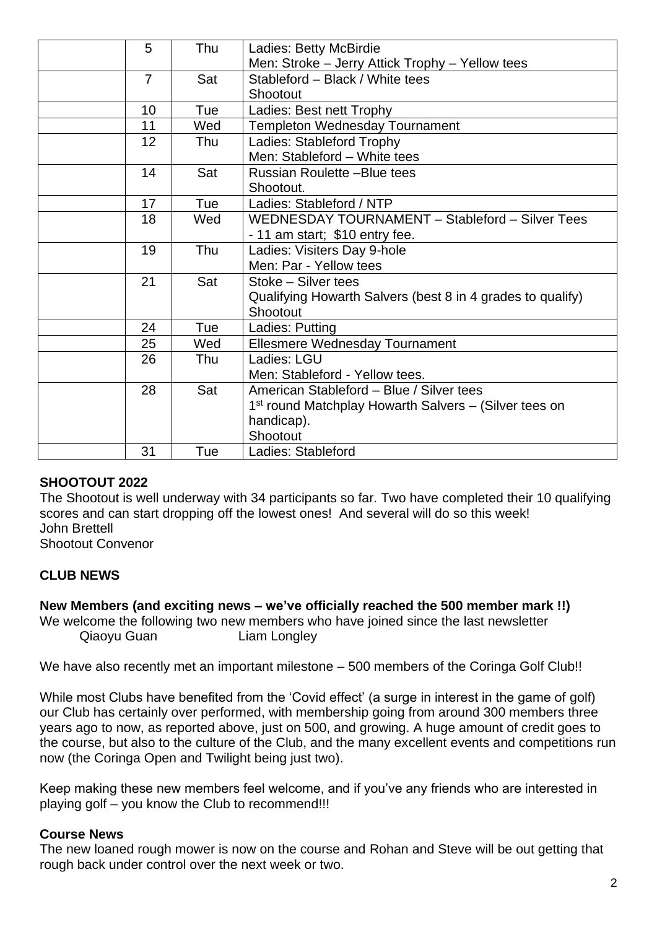| 5              | Thu | Ladies: Betty McBirdie                                            |
|----------------|-----|-------------------------------------------------------------------|
|                |     | Men: Stroke - Jerry Attick Trophy - Yellow tees                   |
| $\overline{7}$ | Sat | Stableford - Black / White tees                                   |
|                |     | Shootout                                                          |
| 10             | Tue | Ladies: Best nett Trophy                                          |
| 11             | Wed | <b>Templeton Wednesday Tournament</b>                             |
| 12             | Thu | Ladies: Stableford Trophy                                         |
|                |     | Men: Stableford - White tees                                      |
| 14             | Sat | Russian Roulette -Blue tees                                       |
|                |     | Shootout.                                                         |
| 17             | Tue | Ladies: Stableford / NTP                                          |
| 18             | Wed | WEDNESDAY TOURNAMENT - Stableford - Silver Tees                   |
|                |     | - 11 am start; \$10 entry fee.                                    |
| 19             | Thu | Ladies: Visiters Day 9-hole                                       |
|                |     | Men: Par - Yellow tees                                            |
| 21             | Sat | Stoke - Silver tees                                               |
|                |     | Qualifying Howarth Salvers (best 8 in 4 grades to qualify)        |
|                |     | Shootout                                                          |
| 24             | Tue | Ladies: Putting                                                   |
| 25             | Wed | <b>Ellesmere Wednesday Tournament</b>                             |
| 26             | Thu | Ladies: LGU                                                       |
|                |     | Men: Stableford - Yellow tees.                                    |
| 28             | Sat | American Stableford - Blue / Silver tees                          |
|                |     | 1 <sup>st</sup> round Matchplay Howarth Salvers – (Silver tees on |
|                |     | handicap).                                                        |
|                |     | Shootout                                                          |
| 31             | Tue | Ladies: Stableford                                                |
|                |     |                                                                   |

# **SHOOTOUT 2022**

The Shootout is well underway with 34 participants so far. Two have completed their 10 qualifying scores and can start dropping off the lowest ones! And several will do so this week! John Brettell

Shootout Convenor

# **CLUB NEWS**

**New Members (and exciting news – we've officially reached the 500 member mark !!)**

We welcome the following two new members who have joined since the last newsletter Qiaoyu Guan Liam Longley

We have also recently met an important milestone – 500 members of the Coringa Golf Club!!

While most Clubs have benefited from the 'Covid effect' (a surge in interest in the game of golf) our Club has certainly over performed, with membership going from around 300 members three years ago to now, as reported above, just on 500, and growing. A huge amount of credit goes to the course, but also to the culture of the Club, and the many excellent events and competitions run now (the Coringa Open and Twilight being just two).

Keep making these new members feel welcome, and if you've any friends who are interested in playing golf – you know the Club to recommend!!!

# **Course News**

The new loaned rough mower is now on the course and Rohan and Steve will be out getting that rough back under control over the next week or two.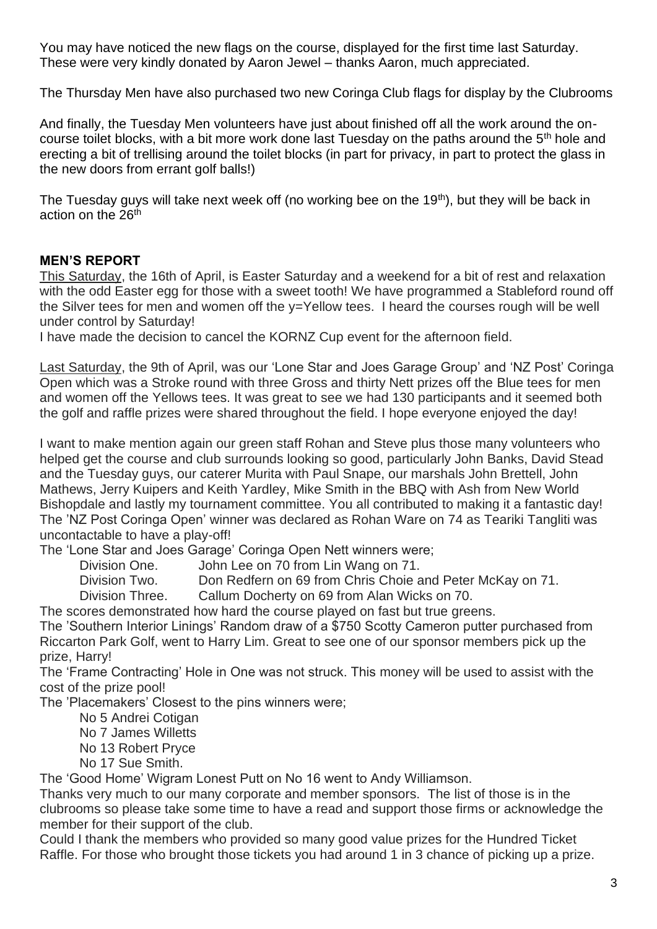You may have noticed the new flags on the course, displayed for the first time last Saturday. These were very kindly donated by Aaron Jewel – thanks Aaron, much appreciated.

The Thursday Men have also purchased two new Coringa Club flags for display by the Clubrooms

And finally, the Tuesday Men volunteers have just about finished off all the work around the oncourse toilet blocks, with a bit more work done last Tuesday on the paths around the 5<sup>th</sup> hole and erecting a bit of trellising around the toilet blocks (in part for privacy, in part to protect the glass in the new doors from errant golf balls!)

The Tuesday guys will take next week off (no working bee on the 19<sup>th</sup>), but they will be back in action on the 26<sup>th</sup>

# **MEN'S REPORT**

This Saturday, the 16th of April, is Easter Saturday and a weekend for a bit of rest and relaxation with the odd Easter egg for those with a sweet tooth! We have programmed a Stableford round off the Silver tees for men and women off the y=Yellow tees. I heard the courses rough will be well under control by Saturday!

I have made the decision to cancel the KORNZ Cup event for the afternoon field.

Last Saturday, the 9th of April, was our 'Lone Star and Joes Garage Group' and 'NZ Post' Coringa Open which was a Stroke round with three Gross and thirty Nett prizes off the Blue tees for men and women off the Yellows tees. It was great to see we had 130 participants and it seemed both the golf and raffle prizes were shared throughout the field. I hope everyone enjoyed the day!

I want to make mention again our green staff Rohan and Steve plus those many volunteers who helped get the course and club surrounds looking so good, particularly John Banks, David Stead and the Tuesday guys, our caterer Murita with Paul Snape, our marshals John Brettell, John Mathews, Jerry Kuipers and Keith Yardley, Mike Smith in the BBQ with Ash from New World Bishopdale and lastly my tournament committee. You all contributed to making it a fantastic day! The 'NZ Post Coringa Open' winner was declared as Rohan Ware on 74 as Teariki Tangliti was uncontactable to have a play-off!

The 'Lone Star and Joes Garage' Coringa Open Nett winners were;

Division One. John Lee on 70 from Lin Wang on 71.

Division Two. Don Redfern on 69 from Chris Choie and Peter McKay on 71.

Division Three. Callum Docherty on 69 from Alan Wicks on 70.

The scores demonstrated how hard the course played on fast but true greens. The 'Southern Interior Linings' Random draw of a \$750 Scotty Cameron putter purchased from Riccarton Park Golf, went to Harry Lim. Great to see one of our sponsor members pick up the prize, Harry!

The 'Frame Contracting' Hole in One was not struck. This money will be used to assist with the cost of the prize pool!

The 'Placemakers' Closest to the pins winners were;

No 5 Andrei Cotigan

No 7 James Willetts

No 13 Robert Pryce

No 17 Sue Smith.

The 'Good Home' Wigram Lonest Putt on No 16 went to Andy Williamson.

Thanks very much to our many corporate and member sponsors. The list of those is in the clubrooms so please take some time to have a read and support those firms or acknowledge the member for their support of the club.

Could I thank the members who provided so many good value prizes for the Hundred Ticket Raffle. For those who brought those tickets you had around 1 in 3 chance of picking up a prize.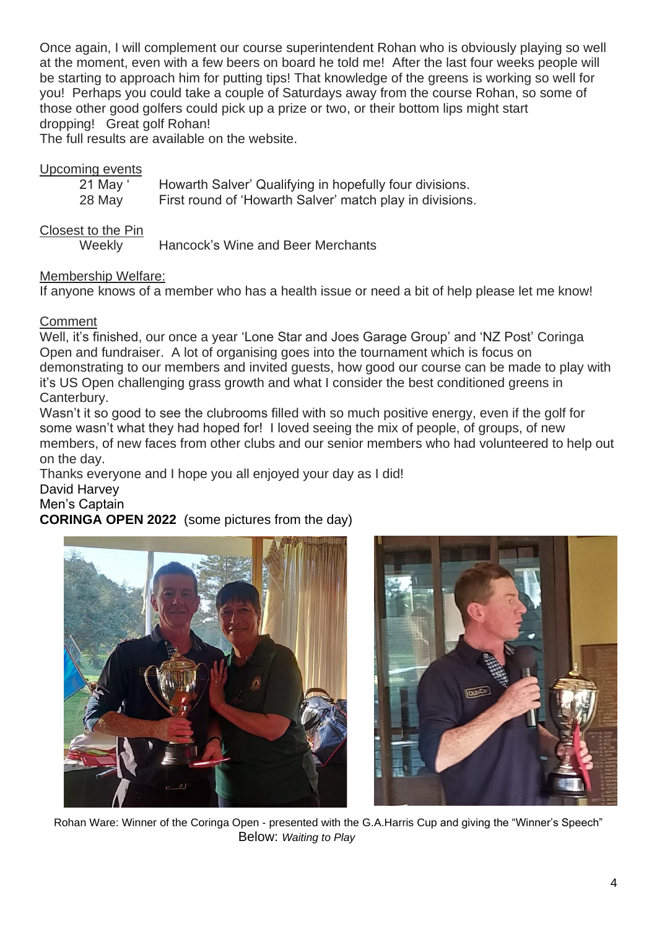Once again, I will complement our course superintendent Rohan who is obviously playing so well at the moment, even with a few beers on board he told me! After the last four weeks people will be starting to approach him for putting tips! That knowledge of the greens is working so well for you! Perhaps you could take a couple of Saturdays away from the course Rohan, so some of those other good golfers could pick up a prize or two, or their bottom lips might start dropping! Great golf Rohan!

The full results are available on the website.

#### Upcoming events

| 21 May ' | Howarth Salver' Qualifying in hopefully four divisions.  |
|----------|----------------------------------------------------------|
| 28 May   | First round of 'Howarth Salver' match play in divisions. |

Closest to the Pin

Weekly Hancock's Wine and Beer Merchants

#### Membership Welfare:

If anyone knows of a member who has a health issue or need a bit of help please let me know!

#### Comment

Well, it's finished, our once a year 'Lone Star and Joes Garage Group' and 'NZ Post' Coringa Open and fundraiser. A lot of organising goes into the tournament which is focus on demonstrating to our members and invited guests, how good our course can be made to play with it's US Open challenging grass growth and what I consider the best conditioned greens in Canterbury.

Wasn't it so good to see the clubrooms filled with so much positive energy, even if the golf for some wasn't what they had hoped for! I loved seeing the mix of people, of groups, of new members, of new faces from other clubs and our senior members who had volunteered to help out on the day.

Thanks everyone and I hope you all enjoyed your day as I did!

#### David Harvey

#### Men's Captain

# **CORINGA OPEN 2022** (some pictures from the day)





Rohan Ware: Winner of the Coringa Open - presented with the G.A.Harris Cup and giving the "Winner's Speech" Below: *Waiting to Play*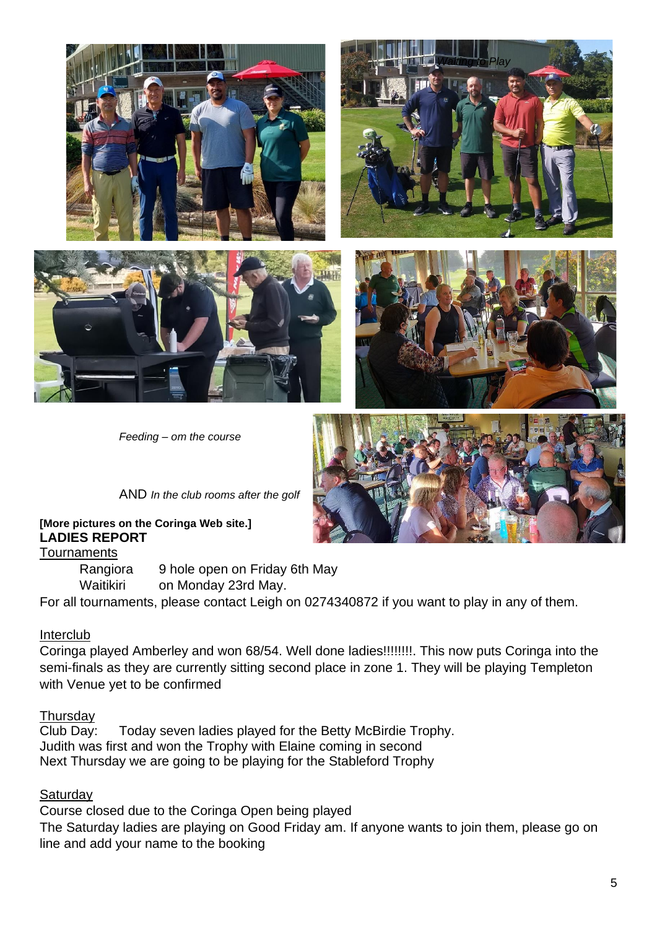



*Waiting to Play*

*Feeding – om the course*



AND *In the club rooms after the golf*

**[More pictures on the Coringa Web site.] LADIES REPORT**

**Tournaments** 

Rangiora 9 hole open on Friday 6th May

Waitikiri on Monday 23rd May.

For all tournaments, please contact Leigh on 0274340872 if you want to play in any of them.

#### Interclub

Coringa played Amberley and won 68/54. Well done ladies!!!!!!!!. This now puts Coringa into the semi-finals as they are currently sitting second place in zone 1. They will be playing Templeton with Venue yet to be confirmed

#### **Thursday**

Club Day: Today seven ladies played for the Betty McBirdie Trophy. Judith was first and won the Trophy with Elaine coming in second Next Thursday we are going to be playing for the Stableford Trophy

# **Saturday**

Course closed due to the Coringa Open being played The Saturday ladies are playing on Good Friday am. If anyone wants to join them, please go on line and add your name to the booking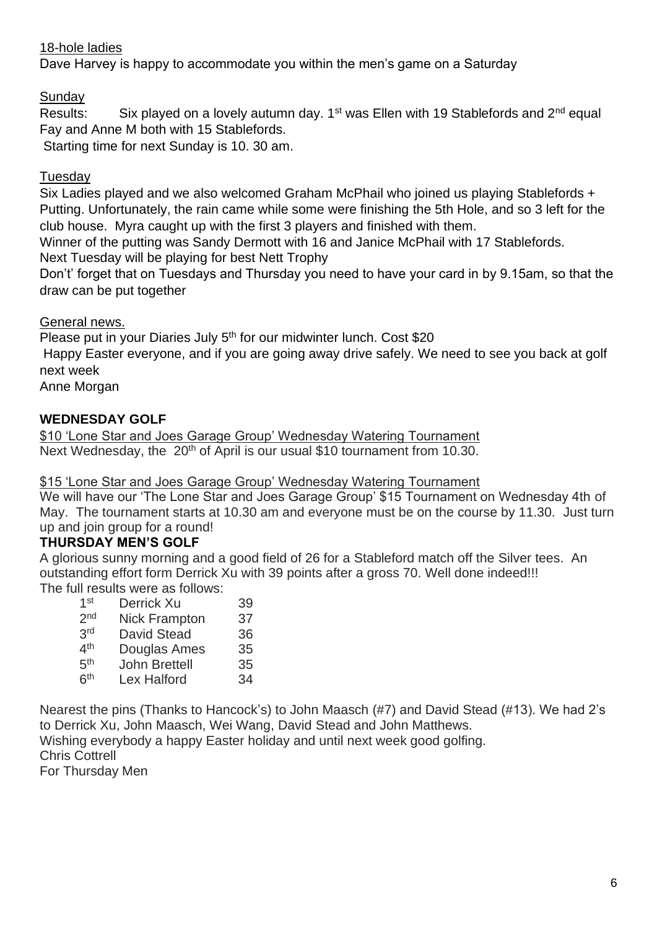# 18-hole ladies

Dave Harvey is happy to accommodate you within the men's game on a Saturday

**Sunday** 

Results: Six played on a lovely autumn day.  $1^{st}$  was Ellen with 19 Stablefords and  $2^{nd}$  equal Fay and Anne M both with 15 Stablefords.

Starting time for next Sunday is 10. 30 am.

# **Tuesday**

Six Ladies played and we also welcomed Graham McPhail who joined us playing Stablefords + Putting. Unfortunately, the rain came while some were finishing the 5th Hole, and so 3 left for the club house. Myra caught up with the first 3 players and finished with them.

Winner of the putting was Sandy Dermott with 16 and Janice McPhail with 17 Stablefords. Next Tuesday will be playing for best Nett Trophy

Don't' forget that on Tuesdays and Thursday you need to have your card in by 9.15am, so that the draw can be put together

General news.

Please put in your Diaries July  $5<sup>th</sup>$  for our midwinter lunch. Cost \$20

Happy Easter everyone, and if you are going away drive safely. We need to see you back at golf next week

Anne Morgan

# **WEDNESDAY GOLF**

\$10 'Lone Star and Joes Garage Group' Wednesday Watering Tournament Next Wednesday, the 20<sup>th</sup> of April is our usual \$10 tournament from 10.30.

# \$15 'Lone Star and Joes Garage Group' Wednesday Watering Tournament

We will have our 'The Lone Star and Joes Garage Group' \$15 Tournament on Wednesday 4th of May. The tournament starts at 10.30 am and everyone must be on the course by 11.30. Just turn up and join group for a round!

# **THURSDAY MEN'S GOLF**

A glorious sunny morning and a good field of 26 for a Stableford match off the Silver tees. An outstanding effort form Derrick Xu with 39 points after a gross 70. Well done indeed!!! The full results were as follows:

| 1 <sup>st</sup> | Derrick Xu           | 39 |
|-----------------|----------------------|----|
| 2 <sub>nd</sub> | <b>Nick Frampton</b> | 37 |
| 3rd             | <b>David Stead</b>   | 36 |
| 4 <sup>th</sup> | Douglas Ames         | 35 |
| 5 <sup>th</sup> | <b>John Brettell</b> | 35 |
| 6 <sup>th</sup> | Lex Halford          | 34 |

Nearest the pins (Thanks to Hancock's) to John Maasch (#7) and David Stead (#13). We had 2's to Derrick Xu, John Maasch, Wei Wang, David Stead and John Matthews. Wishing everybody a happy Easter holiday and until next week good golfing. Chris Cottrell

For Thursday Men